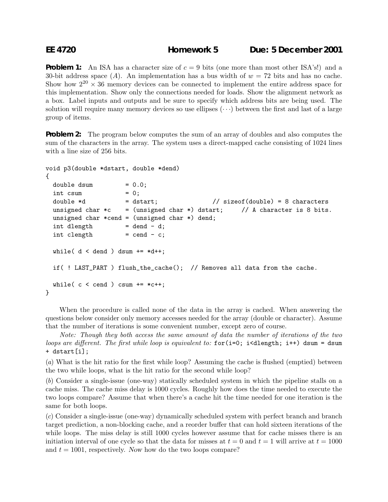**Problem 1:** An ISA has a character size of  $c = 9$  bits (one more than most other ISA's!) and a 30-bit address space (A). An implementation has a bus width of  $w = 72$  bits and has no cache. Show how  $2^{20} \times 36$  memory devices can be connected to implement the entire address space for this implementation. Show only the connections needed for loads. Show the alignment network as a box. Label inputs and outputs and be sure to specify which address bits are being used. The solution will require many memory devices so use ellipses  $(\cdots)$  between the first and last of a large group of items.

**Problem 2:** The program below computes the sum of an array of doubles and also computes the sum of the characters in the array. The system uses a direct-mapped cache consisting of 1024 lines with a line size of 256 bits.

```
void p3(double *dstart, double *dend)
{
 double dsum = 0.0;
 \int int csum = 0;
 double *d = dstart; // sizeof(double) = 8 characters
 unsigned char *c = (unsigned char *) dstart; // A character is 8 bits.
 unsigned char *cend = (unsigned char *) dend;
 int dlength = dend - d;
 int \text{clength} = cend - c;
 while( d < dend ) dsum += *d++;if( ! LAST_PART ) flush_the_cache(); // Removes all data from the cache.
 while( c < cend ) csum += *c++;
}
```
When the procedure is called none of the data in the array is cached. When answering the questions below consider only memory accesses needed for the array (double or character). Assume that the number of iterations is some convenient number, except zero of course.

*Note: Though they both access the same amount of data the number of iterations of the two loops are different. The first while loop is equivalent to:* for(i=0; i<dlength; i++) dsum = dsum + dstart[i];

(*a*) What is the hit ratio for the first while loop? Assuming the cache is flushed (emptied) between the two while loops, what is the hit ratio for the second while loop?

(*b*) Consider a single-issue (one-way) statically scheduled system in which the pipeline stalls on a cache miss. The cache miss delay is 1000 cycles. Roughly how does the time needed to execute the two loops compare? Assume that when there's a cache hit the time needed for one iteration is the same for both loops.

(*c*) Consider a single-issue (one-way) dynamically scheduled system with perfect branch and branch target prediction, a non-blocking cache, and a reorder buffer that can hold sixteen iterations of the while loops. The miss delay is still 1000 cycles however assume that for cache misses there is an initiation interval of one cycle so that the data for misses at  $t = 0$  and  $t = 1$  will arrive at  $t = 1000$ and  $t = 1001$ , respectively. Now how do the two loops compare?